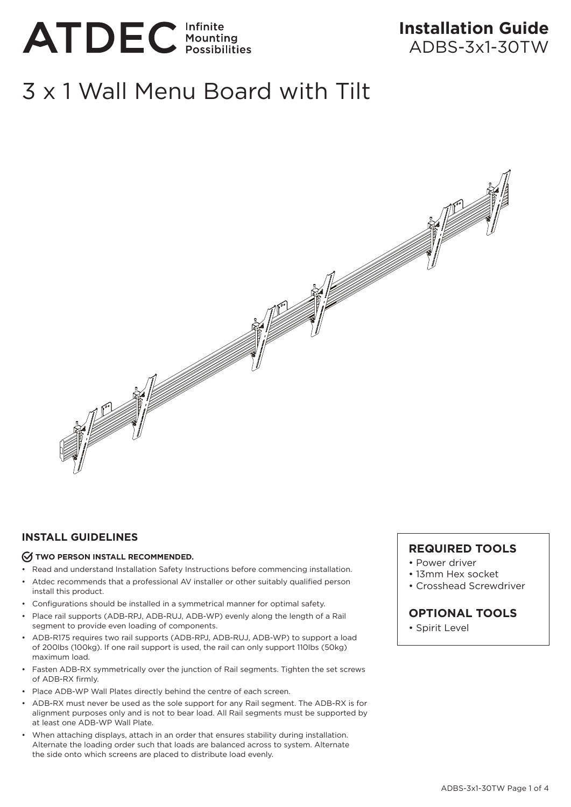

# **Installation Guide**  ADBS-3x1-30TW

# 3 x 1 Wall Menu Board with Tilt



### **INSTALL GUIDELINES**

#### *C* TWO PERSON INSTALL RECOMMENDED.

- Read and understand Installation Safety Instructions before commencing installation.
- Atdec recommends that a professional AV installer or other suitably qualified person install this product.
- Configurations should be installed in a symmetrical manner for optimal safety.
- Place rail supports (ADB-RPJ, ADB-RUJ, ADB-WP) evenly along the length of a Rail segment to provide even loading of components.
- ADB-R175 requires two rail supports (ADB-RPJ, ADB-RUJ, ADB-WP) to support a load of 200lbs (100kg). If one rail support is used, the rail can only support 110lbs (50kg) maximum load.
- Fasten ADB-RX symmetrically over the junction of Rail segments. Tighten the set screws of ADB-RX firmly.
- Place ADB-WP Wall Plates directly behind the centre of each screen.
- ADB-RX must never be used as the sole support for any Rail segment. The ADB-RX is for alignment purposes only and is not to bear load. All Rail segments must be supported by at least one ADB-WP Wall Plate.
- When attaching displays, attach in an order that ensures stability during installation. Alternate the loading order such that loads are balanced across to system. Alternate the side onto which screens are placed to distribute load evenly.

### **REQUIRED TOOLS**

- Power driver
- 13mm Hex socket
- Crosshead Screwdriver

# **OPTIONAL TOOLS**

• Spirit Level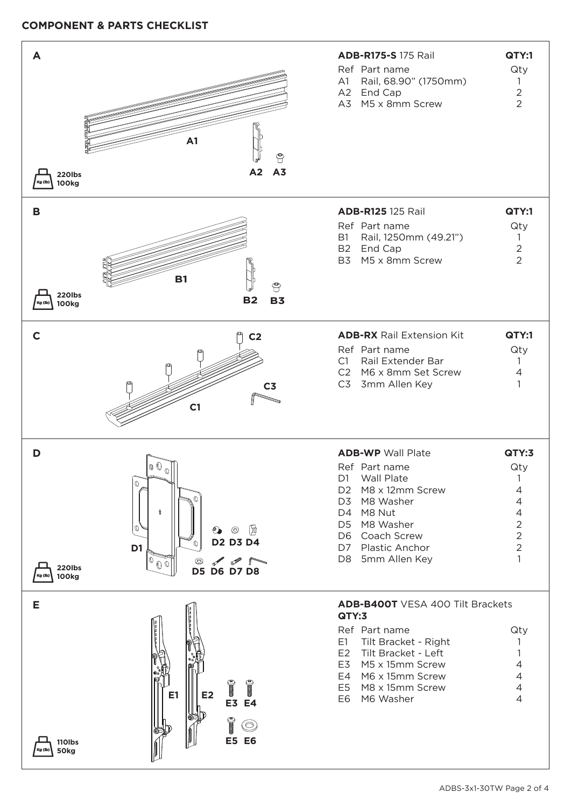### **COMPONENT & PARTS CHECKLIST**

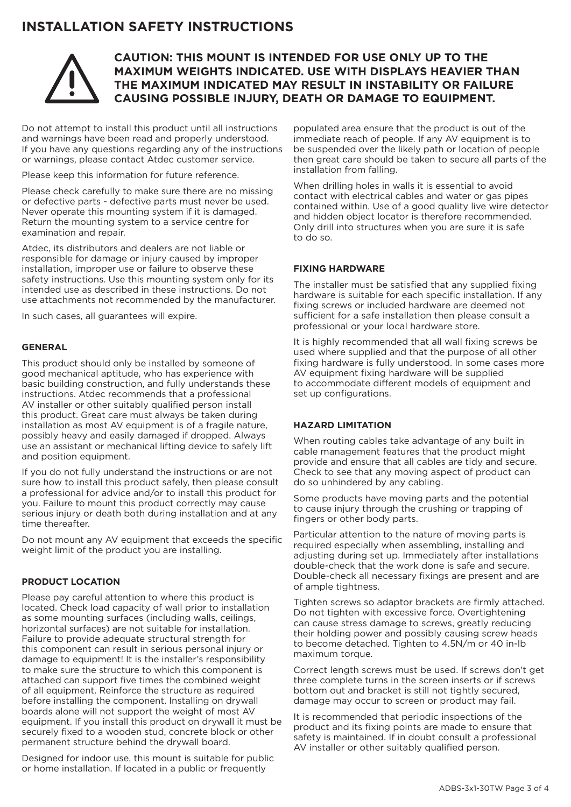# **INSTALLATION SAFETY INSTRUCTIONS**



# **CAUTION: THIS MOUNT IS INTENDED FOR USE ONLY UP TO THE MAXIMUM WEIGHTS INDICATED. USE WITH DISPLAYS HEAVIER THAN THE MAXIMUM INDICATED MAY RESULT IN INSTABILITY OR FAILURE CAUSING POSSIBLE INJURY, DEATH OR DAMAGE TO EQUIPMENT.**

Do not attempt to install this product until all instructions and warnings have been read and properly understood. If you have any questions regarding any of the instructions or warnings, please contact Atdec customer service.

Please keep this information for future reference.

Please check carefully to make sure there are no missing or defective parts - defective parts must never be used. Never operate this mounting system if it is damaged. Return the mounting system to a service centre for examination and repair.

Atdec, its distributors and dealers are not liable or responsible for damage or injury caused by improper installation, improper use or failure to observe these safety instructions. Use this mounting system only for its intended use as described in these instructions. Do not use attachments not recommended by the manufacturer.

In such cases, all guarantees will expire.

### **GENERAL**

This product should only be installed by someone of good mechanical aptitude, who has experience with basic building construction, and fully understands these instructions. Atdec recommends that a professional AV installer or other suitably qualified person install this product. Great care must always be taken during installation as most AV equipment is of a fragile nature, possibly heavy and easily damaged if dropped. Always use an assistant or mechanical lifting device to safely lift and position equipment.

If you do not fully understand the instructions or are not sure how to install this product safely, then please consult a professional for advice and/or to install this product for you. Failure to mount this product correctly may cause serious injury or death both during installation and at any time thereafter.

Do not mount any AV equipment that exceeds the specific weight limit of the product you are installing.

### **PRODUCT LOCATION**

Please pay careful attention to where this product is located. Check load capacity of wall prior to installation as some mounting surfaces (including walls, ceilings, horizontal surfaces) are not suitable for installation. Failure to provide adequate structural strength for this component can result in serious personal injury or damage to equipment! It is the installer's responsibility to make sure the structure to which this component is attached can support five times the combined weight of all equipment. Reinforce the structure as required before installing the component. Installing on drywall boards alone will not support the weight of most AV equipment. If you install this product on drywall it must be securely fixed to a wooden stud, concrete block or other permanent structure behind the drywall board.

Designed for indoor use, this mount is suitable for public or home installation. If located in a public or frequently

populated area ensure that the product is out of the immediate reach of people. If any AV equipment is to be suspended over the likely path or location of people then great care should be taken to secure all parts of the installation from falling.

When drilling holes in walls it is essential to avoid contact with electrical cables and water or gas pipes contained within. Use of a good quality live wire detector and hidden object locator is therefore recommended. Only drill into structures when you are sure it is safe to do so.

### **FIXING HARDWARE**

The installer must be satisfied that any supplied fixing hardware is suitable for each specific installation. If any fixing screws or included hardware are deemed not sufficient for a safe installation then please consult a professional or your local hardware store.

It is highly recommended that all wall fixing screws be used where supplied and that the purpose of all other fixing hardware is fully understood. In some cases more AV equipment fixing hardware will be supplied to accommodate different models of equipment and set up configurations.

### **HAZARD LIMITATION**

When routing cables take advantage of any built in cable management features that the product might provide and ensure that all cables are tidy and secure. Check to see that any moving aspect of product can do so unhindered by any cabling.

Some products have moving parts and the potential to cause injury through the crushing or trapping of fingers or other body parts.

Particular attention to the nature of moving parts is required especially when assembling, installing and adjusting during set up. Immediately after installations double-check that the work done is safe and secure. Double-check all necessary fixings are present and are of ample tightness.

Tighten screws so adaptor brackets are firmly attached. Do not tighten with excessive force. Overtightening can cause stress damage to screws, greatly reducing their holding power and possibly causing screw heads to become detached. Tighten to 4.5N/m or 40 in-lb maximum torque.

Correct length screws must be used. If screws don't get three complete turns in the screen inserts or if screws bottom out and bracket is still not tightly secured, damage may occur to screen or product may fail.

It is recommended that periodic inspections of the product and its fixing points are made to ensure that safety is maintained. If in doubt consult a professional AV installer or other suitably qualified person.